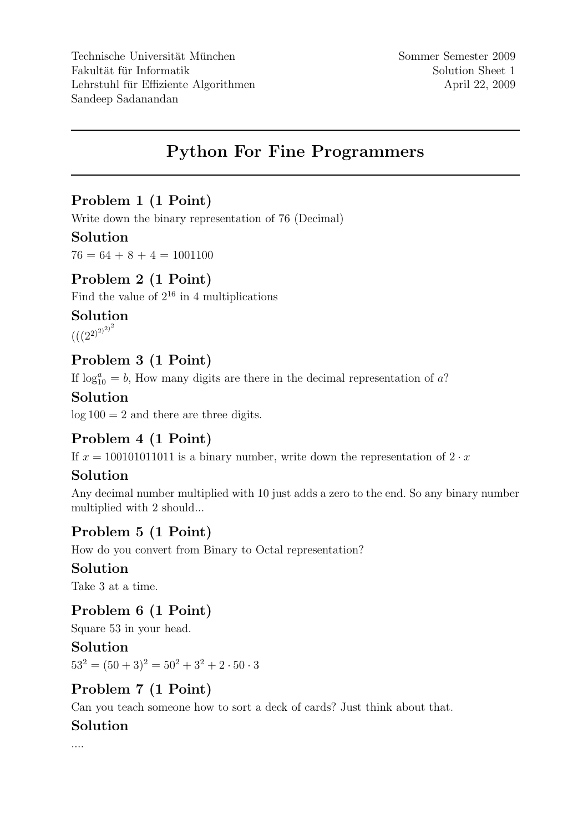# Python For Fine Programmers

# Problem 1 (1 Point)

Write down the binary representation of 76 (Decimal)

### Solution

 $76 = 64 + 8 + 4 = 1001100$ 

### Problem 2 (1 Point)

Find the value of  $2^{16}$  in 4 multiplications

#### Solution

 $\left(\left({(2^2)^{2}}\right)^{2}\right)^2$ 

### Problem 3 (1 Point)

If  $\log_{10}^a = b$ , How many digits are there in the decimal representation of a?

#### Solution

 $log 100 = 2$  and there are three digits.

## Problem 4 (1 Point)

If  $x = 100101011011$  is a binary number, write down the representation of  $2 \cdot x$ 

## Solution

Any decimal number multiplied with 10 just adds a zero to the end. So any binary number multiplied with 2 should...

# Problem 5 (1 Point)

How do you convert from Binary to Octal representation?

#### Solution

Take 3 at a time.

## Problem 6 (1 Point)

Square 53 in your head.

#### Solution

 $53^2 = (50+3)^2 = 50^2 + 3^2 + 2 \cdot 50 \cdot 3$ 

# Problem 7 (1 Point)

Can you teach someone how to sort a deck of cards? Just think about that.

#### Solution

....